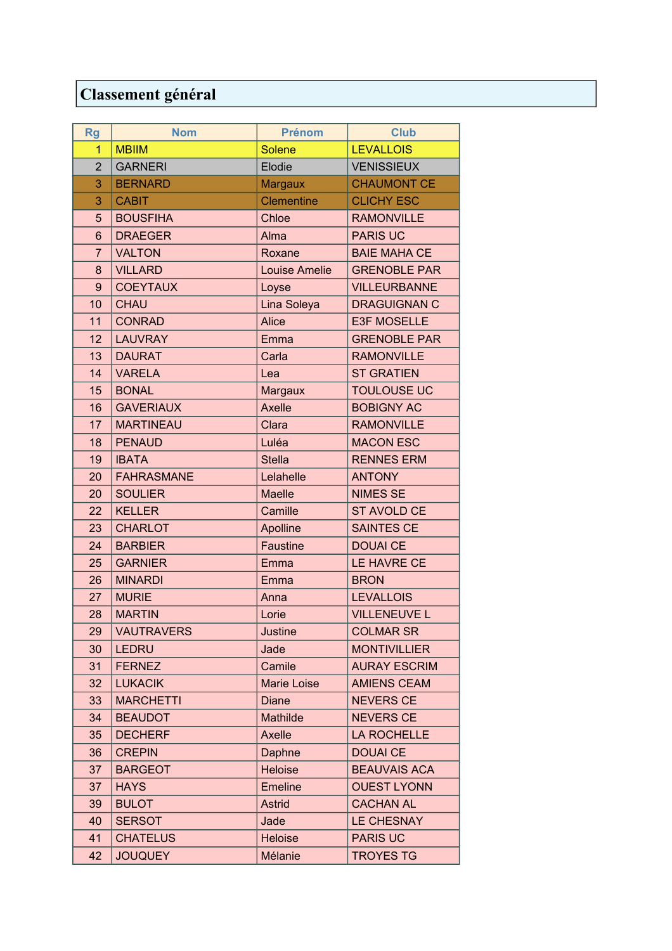## Classement général

| <b>Rg</b>       | <b>Nom</b>        | <b>Prénom</b>        | <b>Club</b>         |
|-----------------|-------------------|----------------------|---------------------|
| $\overline{1}$  | <b>MBIIM</b>      | <b>Solene</b>        | <b>LEVALLOIS</b>    |
| $\overline{2}$  | <b>GARNERI</b>    | Elodie               | <b>VENISSIEUX</b>   |
| 3               | <b>BERNARD</b>    | <b>Margaux</b>       | <b>CHAUMONT CE</b>  |
| 3               | <b>CABIT</b>      | <b>Clementine</b>    | <b>CLICHY ESC</b>   |
| 5               | <b>BOUSFIHA</b>   | Chloe                | <b>RAMONVILLE</b>   |
| $6\phantom{1}$  | <b>DRAEGER</b>    | Alma                 | <b>PARIS UC</b>     |
| $\overline{7}$  | <b>VALTON</b>     | Roxane               | <b>BAIE MAHA CE</b> |
| 8               | <b>VILLARD</b>    | <b>Louise Amelie</b> | <b>GRENOBLE PAR</b> |
| 9               | <b>COEYTAUX</b>   | Loyse                | <b>VILLEURBANNE</b> |
| 10              | <b>CHAU</b>       | Lina Soleya          | <b>DRAGUIGNAN C</b> |
| 11              | <b>CONRAD</b>     | <b>Alice</b>         | <b>E3F MOSELLE</b>  |
| 12              | <b>LAUVRAY</b>    | Emma                 | <b>GRENOBLE PAR</b> |
| 13              | <b>DAURAT</b>     | Carla                | <b>RAMONVILLE</b>   |
| 14              | <b>VARELA</b>     | Lea                  | <b>ST GRATIEN</b>   |
| 15              | <b>BONAL</b>      | Margaux              | <b>TOULOUSE UC</b>  |
| 16              | <b>GAVERIAUX</b>  | <b>Axelle</b>        | <b>BOBIGNY AC</b>   |
| 17              | <b>MARTINEAU</b>  | Clara                | <b>RAMONVILLE</b>   |
| 18              | <b>PENAUD</b>     | Luléa                | <b>MACON ESC</b>    |
| 19              | <b>IBATA</b>      | <b>Stella</b>        | <b>RENNES ERM</b>   |
| 20              | <b>FAHRASMANE</b> | Lelahelle            | <b>ANTONY</b>       |
| 20              | <b>SOULIER</b>    | <b>Maelle</b>        | <b>NIMES SE</b>     |
| 22              | <b>KELLER</b>     | Camille              | <b>ST AVOLD CE</b>  |
| 23              | <b>CHARLOT</b>    | Apolline             | <b>SAINTES CE</b>   |
| 24              | <b>BARBIER</b>    | <b>Faustine</b>      | <b>DOUAI CE</b>     |
| 25              | <b>GARNIER</b>    | Emma                 | LE HAVRE CE         |
| 26              | <b>MINARDI</b>    | Emma                 | <b>BRON</b>         |
| 27              | <b>MURIE</b>      | Anna                 | <b>LEVALLOIS</b>    |
| 28              | <b>MARTIN</b>     | Lorie                | <b>VILLENEUVE L</b> |
| 29              | <b>VAUTRAVERS</b> | <b>Justine</b>       | <b>COLMAR SR</b>    |
| 30              | <b>LEDRU</b>      | Jade                 | <b>MONTIVILLIER</b> |
| 31              | <b>FERNEZ</b>     | Camile               | <b>AURAY ESCRIM</b> |
| 32 <sub>2</sub> | <b>LUKACIK</b>    | <b>Marie Loise</b>   | <b>AMIENS CEAM</b>  |
| 33              | <b>MARCHETTI</b>  | <b>Diane</b>         | <b>NEVERS CE</b>    |
| 34              | <b>BEAUDOT</b>    | Mathilde             | <b>NEVERS CE</b>    |
| 35              | <b>DECHERF</b>    | Axelle               | LA ROCHELLE         |
| 36              | <b>CREPIN</b>     | Daphne               | <b>DOUAI CE</b>     |
| 37              | <b>BARGEOT</b>    | <b>Heloise</b>       | <b>BEAUVAIS ACA</b> |
| 37              | <b>HAYS</b>       | <b>Emeline</b>       | <b>OUEST LYONN</b>  |
| 39              | <b>BULOT</b>      | Astrid               | <b>CACHAN AL</b>    |
| 40              | <b>SERSOT</b>     | Jade                 | LE CHESNAY          |
| 41              | <b>CHATELUS</b>   | <b>Heloise</b>       | <b>PARIS UC</b>     |
| 42              | <b>JOUQUEY</b>    | <b>Mélanie</b>       | <b>TROYES TG</b>    |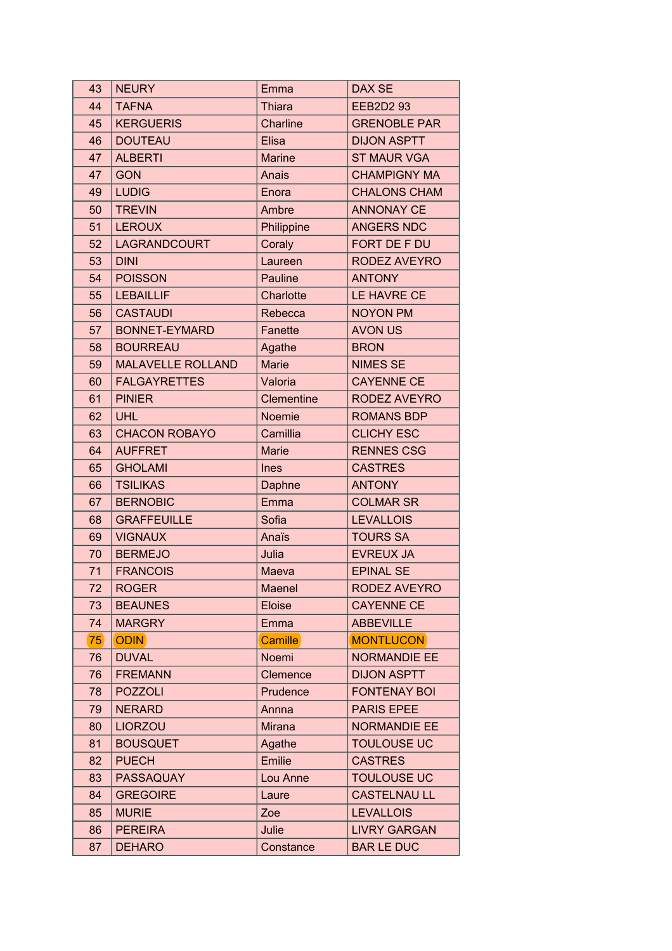| 43 | <b>NEURY</b>             | Emma          | DAX SE              |
|----|--------------------------|---------------|---------------------|
| 44 | <b>TAFNA</b>             | Thiara        | <b>EEB2D2 93</b>    |
| 45 | <b>KERGUERIS</b>         | Charline      | <b>GRENOBLE PAR</b> |
| 46 | <b>DOUTEAU</b>           | <b>Elisa</b>  | <b>DIJON ASPTT</b>  |
| 47 | <b>ALBERTI</b>           | <b>Marine</b> | <b>ST MAUR VGA</b>  |
| 47 | <b>GON</b>               | Anais         | <b>CHAMPIGNY MA</b> |
| 49 | <b>LUDIG</b>             | Enora         | <b>CHALONS CHAM</b> |
| 50 | <b>TREVIN</b>            | Ambre         | <b>ANNONAY CE</b>   |
| 51 | <b>LEROUX</b>            | Philippine    | <b>ANGERS NDC</b>   |
| 52 | <b>LAGRANDCOURT</b>      | Coraly        | FORT DE F DU        |
| 53 | <b>DINI</b>              | Laureen       | <b>RODEZ AVEYRO</b> |
| 54 | <b>POISSON</b>           | Pauline       | <b>ANTONY</b>       |
| 55 | <b>LEBAILLIF</b>         | Charlotte     | LE HAVRE CE         |
| 56 | <b>CASTAUDI</b>          | Rebecca       | <b>NOYON PM</b>     |
| 57 | <b>BONNET-EYMARD</b>     | Fanette       | <b>AVON US</b>      |
| 58 | <b>BOURREAU</b>          | Agathe        | <b>BRON</b>         |
| 59 | <b>MALAVELLE ROLLAND</b> | <b>Marie</b>  | <b>NIMES SE</b>     |
| 60 | <b>FALGAYRETTES</b>      | Valoria       | <b>CAYENNE CE</b>   |
| 61 | <b>PINIER</b>            | Clementine    | RODEZ AVEYRO        |
| 62 | <b>UHL</b>               | Noemie        | <b>ROMANS BDP</b>   |
| 63 | <b>CHACON ROBAYO</b>     | Camillia      | <b>CLICHY ESC</b>   |
| 64 | <b>AUFFRET</b>           | <b>Marie</b>  | <b>RENNES CSG</b>   |
| 65 | <b>GHOLAMI</b>           | <b>Ines</b>   | <b>CASTRES</b>      |
| 66 | <b>TSILIKAS</b>          | Daphne        | <b>ANTONY</b>       |
| 67 | <b>BERNOBIC</b>          | Emma          | <b>COLMAR SR</b>    |
| 68 | <b>GRAFFEUILLE</b>       | Sofia         | <b>LEVALLOIS</b>    |
| 69 | <b>VIGNAUX</b>           | Anaïs         | <b>TOURS SA</b>     |
| 70 | <b>BERMEJO</b>           | Julia         | <b>EVREUX JA</b>    |
| 71 | <b>FRANCOIS</b>          | Maeva         | <b>EPINAL SE</b>    |
| 72 | <b>ROGER</b>             | Maenel        | RODEZ AVEYRO        |
| 73 | <b>BEAUNES</b>           | <b>Eloise</b> | <b>CAYENNE CE</b>   |
| 74 | <b>MARGRY</b>            | Emma          | <b>ABBEVILLE</b>    |
| 75 | <b>ODIN</b>              | Camille       | <b>MONTLUCON</b>    |
| 76 | <b>DUVAL</b>             | Noemi         | <b>NORMANDIE EE</b> |
| 76 | <b>FREMANN</b>           | Clemence      | <b>DIJON ASPTT</b>  |
| 78 | <b>POZZOLI</b>           | Prudence      | <b>FONTENAY BOI</b> |
| 79 | <b>NERARD</b>            | Annna         | <b>PARIS EPEE</b>   |
| 80 | <b>LIORZOU</b>           | <b>Mirana</b> | <b>NORMANDIE EE</b> |
| 81 | <b>BOUSQUET</b>          | Agathe        | <b>TOULOUSE UC</b>  |
| 82 | <b>PUECH</b>             | Emilie        | <b>CASTRES</b>      |
| 83 | <b>PASSAQUAY</b>         | Lou Anne      | <b>TOULOUSE UC</b>  |
| 84 | <b>GREGOIRE</b>          | Laure         | <b>CASTELNAU LL</b> |
| 85 | <b>MURIE</b>             | Zoe           | <b>LEVALLOIS</b>    |
| 86 | <b>PEREIRA</b>           | Julie         | <b>LIVRY GARGAN</b> |
| 87 | <b>DEHARO</b>            | Constance     | <b>BAR LE DUC</b>   |